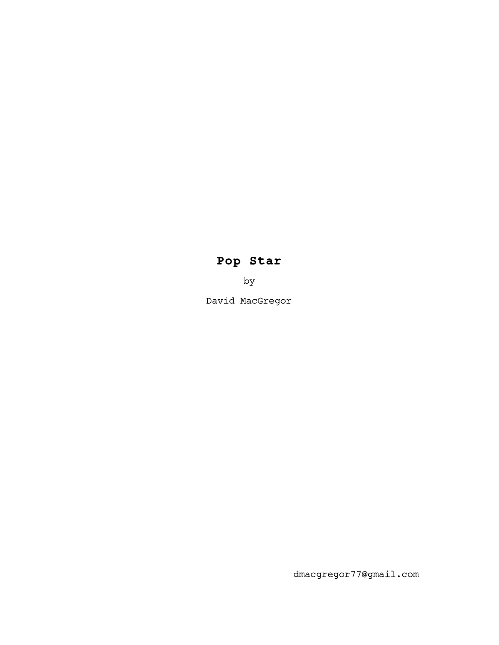# **Pop Star**

by

David MacGregor

dmacgregor77@gmail.com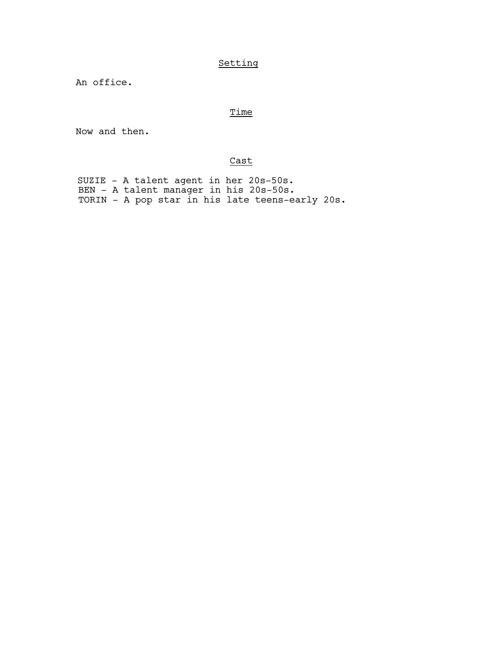# Setting

An office.

# **Time**

Now and then.

# Cast

SUZIE - A talent agent in her 20s-50s. BEN - A talent manager in his 20s-50s. TORIN - A pop star in his late teens-early 20s.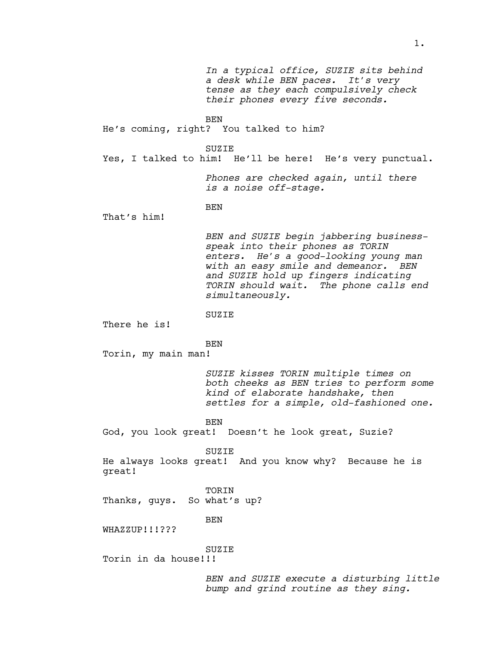*In a typical office, SUZIE sits behind a desk while BEN paces. It's very tense as they each compulsively check their phones every five seconds.*  BEN He's coming, right? You talked to him? SUZIE Yes, I talked to him! He'll be here! He's very punctual. *Phones are checked again, until there is a noise off-stage.* **BEN** That's him! *BEN and SUZIE begin jabbering businessspeak into their phones as TORIN enters. He's a good-looking young man with an easy smile and demeanor. BEN and SUZIE hold up fingers indicating TORIN should wait. The phone calls end simultaneously.* SUZIE There he is! BEN Torin, my main man! *SUZIE kisses TORIN multiple times on both cheeks as BEN tries to perform some kind of elaborate handshake, then settles for a simple, old-fashioned one.* BEN God, you look great! Doesn't he look great, Suzie? SUZIE He always looks great! And you know why? Because he is great! TORIN Thanks, guys. So what's up? BEN WHAZZUP!!!??? **SUZIE** Torin in da house!!! *BEN and SUZIE execute a disturbing little* 

*bump and grind routine as they sing.*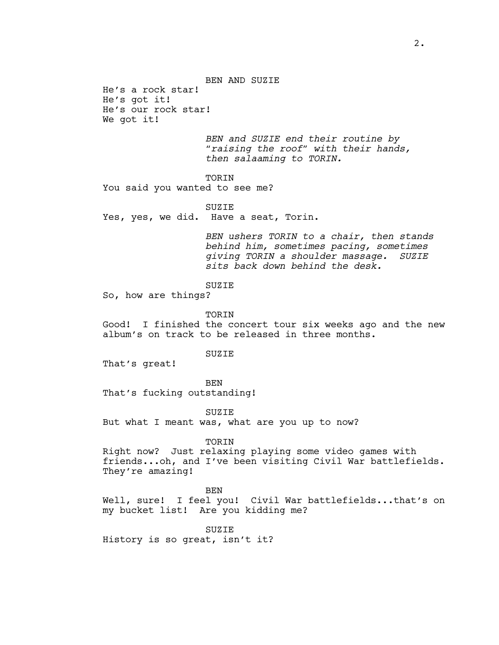*BEN and SUZIE end their routine by "raising the roof" with their hands, then salaaming to TORIN.*

TORIN

You said you wanted to see me?

## SUZIE

Yes, yes, we did. Have a seat, Torin.

*BEN ushers TORIN to a chair, then stands behind him, sometimes pacing, sometimes giving TORIN a shoulder massage. SUZIE sits back down behind the desk.*

#### SUZIE

So, how are things?

TORIN

Good! I finished the concert tour six weeks ago and the new album's on track to be released in three months.

SUZIE

That's great!

**BEN** That's fucking outstanding!

SUZIE But what I meant was, what are you up to now?

TORIN

Right now? Just relaxing playing some video games with friends...oh, and I've been visiting Civil War battlefields. They're amazing!

**BEN** 

Well, sure! I feel you! Civil War battlefields...that's on my bucket list! Are you kidding me?

SUZIE History is so great, isn't it?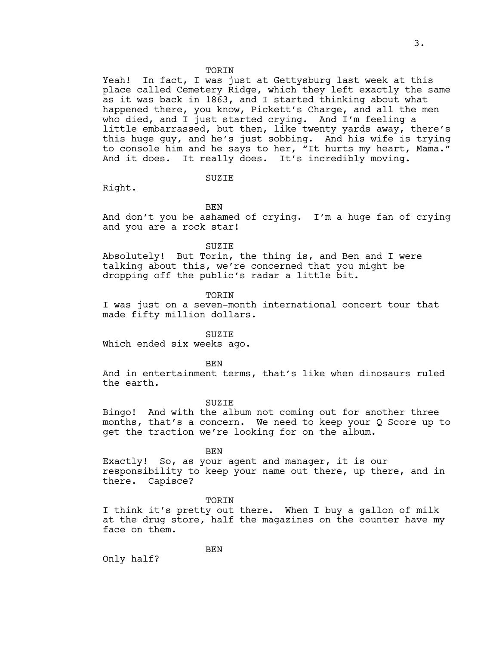#### TORIN

Yeah! In fact, I was just at Gettysburg last week at this place called Cemetery Ridge, which they left exactly the same as it was back in 1863, and I started thinking about what happened there, you know, Pickett's Charge, and all the men who died, and I just started crying. And I'm feeling a little embarrassed, but then, like twenty yards away, there's this huge guy, and he's just sobbing. And his wife is trying to console him and he says to her, "It hurts my heart, Mama." And it does. It really does. It's incredibly moving.

SUZIE

Right.

BEN

And don't you be ashamed of crying. I'm a huge fan of crying and you are a rock star!

**SUZIE** 

Absolutely! But Torin, the thing is, and Ben and I were talking about this, we're concerned that you might be dropping off the public's radar a little bit.

**TORIN** 

I was just on a seven-month international concert tour that made fifty million dollars.

**SUZIE** 

Which ended six weeks ago.

BEN

And in entertainment terms, that's like when dinosaurs ruled the earth.

SUZIE

Bingo! And with the album not coming out for another three months, that's a concern. We need to keep your Q Score up to get the traction we're looking for on the album.

BEN

Exactly! So, as your agent and manager, it is our responsibility to keep your name out there, up there, and in there. Capisce?

TORIN

I think it's pretty out there. When I buy a gallon of milk at the drug store, half the magazines on the counter have my face on them.

**BEN** 

Only half?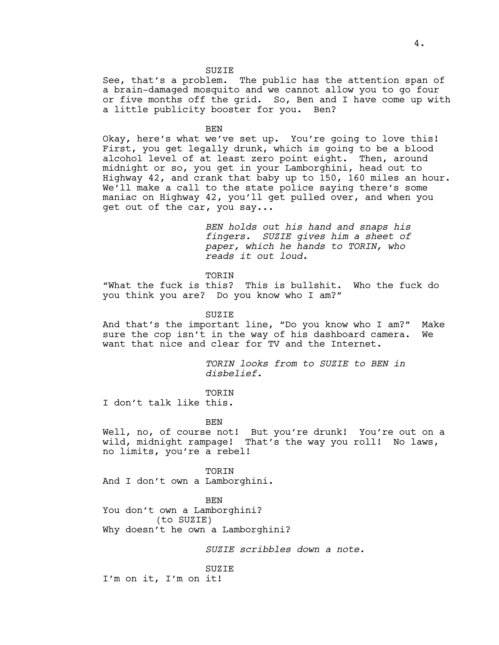#### SUZIE

See, that's a problem. The public has the attention span of a brain-damaged mosquito and we cannot allow you to go four or five months off the grid. So, Ben and I have come up with a little publicity booster for you. Ben?

BEN

Okay, here's what we've set up. You're going to love this! First, you get legally drunk, which is going to be a blood alcohol level of at least zero point eight. Then, around midnight or so, you get in your Lamborghini, head out to Highway 42, and crank that baby up to 150, 160 miles an hour. We'll make a call to the state police saying there's some maniac on Highway 42, you'll get pulled over, and when you get out of the car, you say...

> *BEN holds out his hand and snaps his fingers. SUZIE gives him a sheet of paper, which he hands to TORIN, who reads it out loud.*

TORIN

"What the fuck is this? This is bullshit. Who the fuck do you think you are? Do you know who I am?"

SUZIE

And that's the important line, "Do you know who I am?" Make sure the cop isn't in the way of his dashboard camera. We want that nice and clear for TV and the Internet.

> *TORIN looks from to SUZIE to BEN in disbelief.*

TORIN

I don't talk like this.

BEN

Well, no, of course not! But you're drunk! You're out on a wild, midnight rampage! That's the way you roll! No laws, no limits, you're a rebel!

TORIN And I don't own a Lamborghini.

BEN

You don't own a Lamborghini? (to SUZIE) Why doesn't he own a Lamborghini?

*SUZIE scribbles down a note.*

SUZIE I'm on it, I'm on it!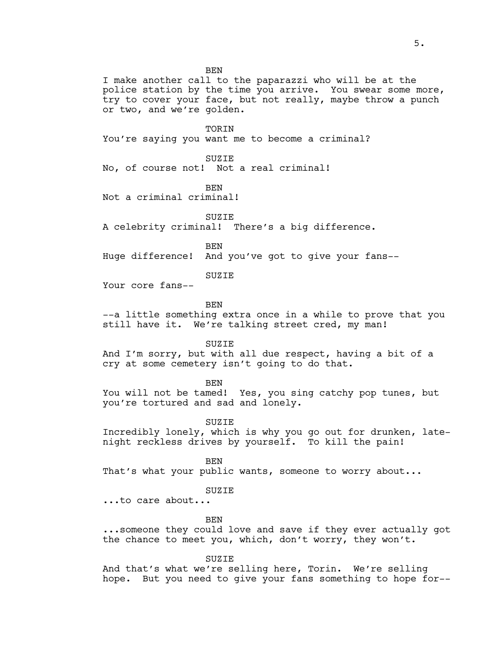BEN I make another call to the paparazzi who will be at the police station by the time you arrive. You swear some more, try to cover your face, but not really, maybe throw a punch or two, and we're golden. TORIN You're saying you want me to become a criminal? SUZIE No, of course not! Not a real criminal! **BEN** Not a criminal criminal! **SUZIE** A celebrity criminal! There's a big difference. BEN Huge difference! And you've got to give your fans-- **SUZIE** Your core fans-- BEN --a little something extra once in a while to prove that you still have it. We're talking street cred, my man! SUZIE And I'm sorry, but with all due respect, having a bit of a cry at some cemetery isn't going to do that. BEN

You will not be tamed! Yes, you sing catchy pop tunes, but you're tortured and sad and lonely.

SUZIE

Incredibly lonely, which is why you go out for drunken, latenight reckless drives by yourself. To kill the pain!

BEN That's what your public wants, someone to worry about...

## **SUZIE**

...to care about...

BEN

...someone they could love and save if they ever actually got the chance to meet you, which, don't worry, they won't.

SUZIE

And that's what we're selling here, Torin. We're selling hope. But you need to give your fans something to hope for--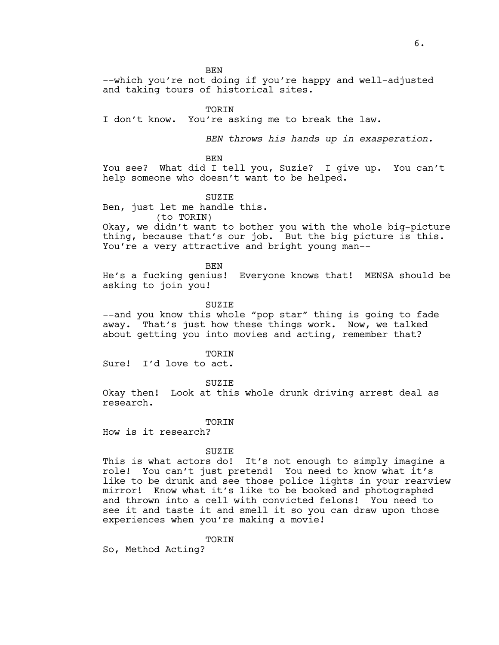BEN

--which you're not doing if you're happy and well-adjusted and taking tours of historical sites.

TORIN

I don't know. You're asking me to break the law.

*BEN throws his hands up in exasperation.*

BEN

You see? What did I tell you, Suzie? I give up. You can't help someone who doesn't want to be helped.

SUZIE

Ben, just let me handle this.

(to TORIN)

Okay, we didn't want to bother you with the whole big-picture thing, because that's our job. But the big picture is this. You're a very attractive and bright young man--

BEN

He's a fucking genius! Everyone knows that! MENSA should be asking to join you!

SUZIE

--and you know this whole "pop star" thing is going to fade away. That's just how these things work. Now, we talked about getting you into movies and acting, remember that?

TORIN

Sure! I'd love to act.

**SUZIE** 

Okay then! Look at this whole drunk driving arrest deal as research.

**TORIN** 

How is it research?

## SUZIE

This is what actors do! It's not enough to simply imagine a role! You can't just pretend! You need to know what it's like to be drunk and see those police lights in your rearview mirror! Know what it's like to be booked and photographed and thrown into a cell with convicted felons! You need to see it and taste it and smell it so you can draw upon those experiences when you're making a movie!

TORIN

So, Method Acting?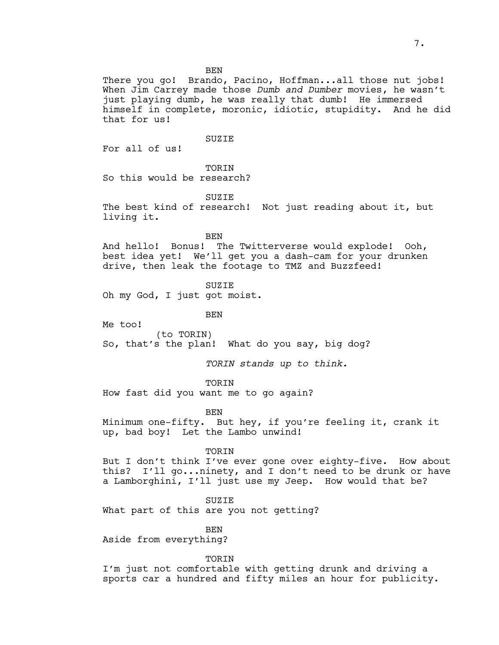BEN

There you go! Brando, Pacino, Hoffman...all those nut jobs! When Jim Carrey made those *Dumb and Dumber* movies, he wasn't just playing dumb, he was really that dumb! He immersed himself in complete, moronic, idiotic, stupidity. And he did that for us!

## SUZIE

For all of us!

**TORIN** 

So this would be research?

SUZIE

The best kind of research! Not just reading about it, but living it.

BEN

And hello! Bonus! The Twitterverse would explode! Ooh, best idea yet! We'll get you a dash-cam for your drunken drive, then leak the footage to TMZ and Buzzfeed!

SUZIE

Oh my God, I just got moist.

**BEN** 

Me too!

(to TORIN) So, that's the plan! What do you say, big dog?

*TORIN stands up to think.*

**TORIN** 

How fast did you want me to go again?

BEN

Minimum one-fifty. But hey, if you're feeling it, crank it up, bad boy! Let the Lambo unwind!

TORIN

But I don't think I've ever gone over eighty-five. How about this? I'll go...ninety, and I don't need to be drunk or have a Lamborghini, I'll just use my Jeep. How would that be?

SUZIE What part of this are you not getting?

BEN

Aside from everything?

TORIN

I'm just not comfortable with getting drunk and driving a sports car a hundred and fifty miles an hour for publicity.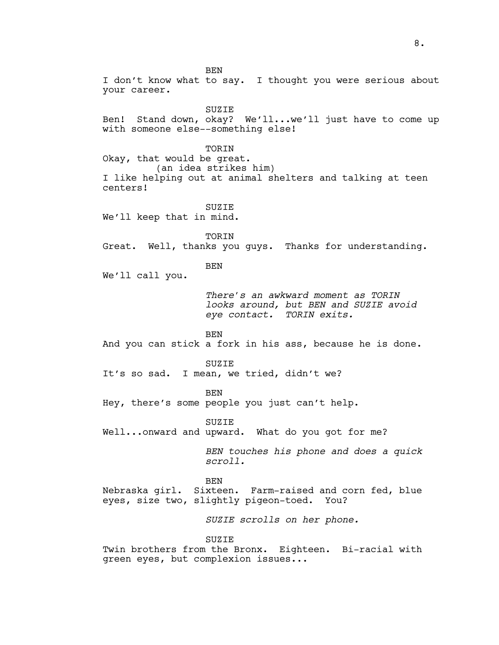BEN I don't know what to say. I thought you were serious about your career. **SUZIE** Ben! Stand down, okay? We'll...we'll just have to come up with someone else--something else! TORIN Okay, that would be great. (an idea strikes him) I like helping out at animal shelters and talking at teen centers! SUZIE We'll keep that in mind. TORIN Great. Well, thanks you guys. Thanks for understanding. BEN We'll call you. *There's an awkward moment as TORIN looks around, but BEN and SUZIE avoid eye contact. TORIN exits.* BEN And you can stick a fork in his ass, because he is done. SUZIE It's so sad. I mean, we tried, didn't we? BEN Hey, there's some people you just can't help. SUZIE Well...onward and upward. What do you got for me? *BEN touches his phone and does a quick scroll.* BEN Nebraska girl. Sixteen. Farm-raised and corn fed, blue eyes, size two, slightly pigeon-toed. You? *SUZIE scrolls on her phone.* SUZIE Twin brothers from the Bronx. Eighteen. Bi-racial with green eyes, but complexion issues...

8.